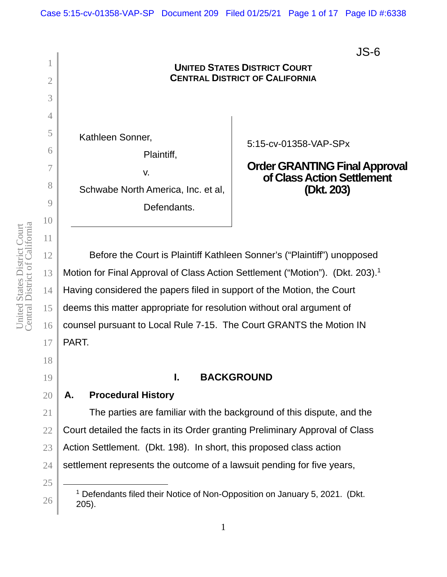JS-6

### 1 2 3 4 5 6 7 8 9 10 11 12 **UNITED STATES DISTRICT COURT CENTRAL DISTRICT OF CALIFORNIA** Kathleen Sonner, Plaintiff, v. Schwabe North America, Inc. et al, Defendants. 5:15-cv-01358-VAP-SPx **Order GRANTING Final Approval of Class Action Settlement (Dkt. 203)**  Before the Court is Plaintiff Kathleen Sonner's ("Plaintiff") unopposed

Motion for Final Approval of Class Action Settlement ("Motion"). (Dkt. 203).<sup>1</sup> Having considered the papers filed in support of the Motion, the Court deems this matter appropriate for resolution without oral argument of counsel pursuant to Local Rule 7-15. The Court GRANTS the Motion IN PART.

# **I. BACKGROUND**

# **A. Procedural History**

The parties are familiar with the background of this dispute, and the Court detailed the facts in its Order granting Preliminary Approval of Class Action Settlement. (Dkt. 198). In short, this proposed class action settlement represents the outcome of a lawsuit pending for five years,

13

14

15

16

17

<sup>&</sup>lt;sup>1</sup> Defendants filed their Notice of Non-Opposition on January 5, 2021. (Dkt. 205).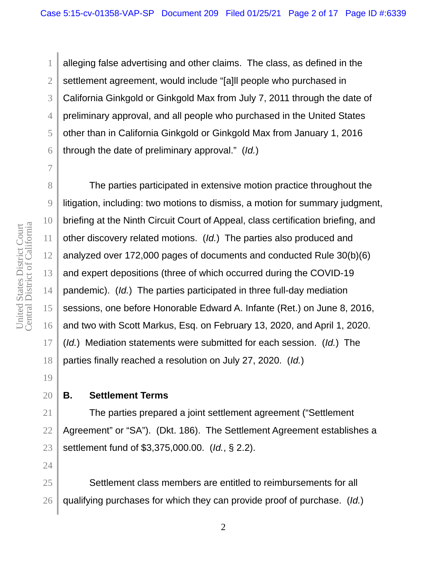3 4 5 6 alleging false advertising and other claims. The class, as defined in the settlement agreement, would include "[a]ll people who purchased in California Ginkgold or Ginkgold Max from July 7, 2011 through the date of preliminary approval, and all people who purchased in the United States other than in California Ginkgold or Ginkgold Max from January 1, 2016 through the date of preliminary approval." (*Id.*)

The parties participated in extensive motion practice throughout the litigation, including: two motions to dismiss, a motion for summary judgment, briefing at the Ninth Circuit Court of Appeal, class certification briefing, and other discovery related motions. (*Id.*) The parties also produced and analyzed over 172,000 pages of documents and conducted Rule 30(b)(6) and expert depositions (three of which occurred during the COVID-19 pandemic). (*Id.*) The parties participated in three full-day mediation sessions, one before Honorable Edward A. Infante (Ret.) on June 8, 2016, and two with Scott Markus, Esq. on February 13, 2020, and April 1, 2020. (*Id.*) Mediation statements were submitted for each session. (*Id.*) The parties finally reached a resolution on July 27, 2020. (*Id.*)

# **B. Settlement Terms**

The parties prepared a joint settlement agreement ("Settlement Agreement" or "SA"). (Dkt. 186). The Settlement Agreement establishes a settlement fund of \$3,375,000.00. (*Id.*, § 2.2).

Settlement class members are entitled to reimbursements for all qualifying purchases for which they can provide proof of purchase. (*Id.*)

1

2

7

8

9

10

11

12

13

14

15

16

17

18

19

20

21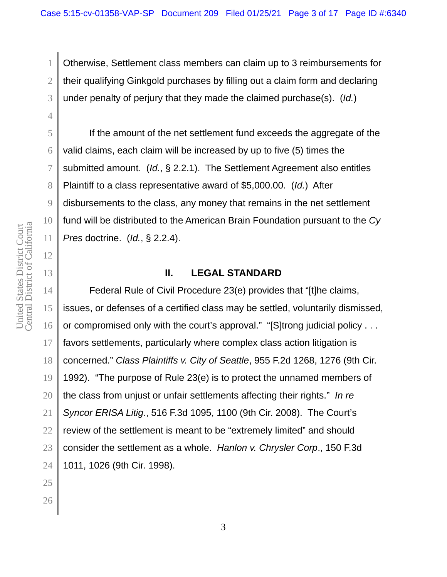Otherwise, Settlement class members can claim up to 3 reimbursements for their qualifying Ginkgold purchases by filling out a claim form and declaring under penalty of perjury that they made the claimed purchase(s). (*Id.*)

If the amount of the net settlement fund exceeds the aggregate of the valid claims, each claim will be increased by up to five (5) times the submitted amount. (*Id.*, § 2.2.1). The Settlement Agreement also entitles Plaintiff to a class representative award of \$5,000.00. (*Id.*) After disbursements to the class, any money that remains in the net settlement fund will be distributed to the American Brain Foundation pursuant to the *Cy Pres* doctrine. (*Id.*, § 2.2.4).

# **II. LEGAL STANDARD**

Federal Rule of Civil Procedure 23(e) provides that "[t]he claims, issues, or defenses of a certified class may be settled, voluntarily dismissed, or compromised only with the court's approval." "[S]trong judicial policy . . . favors settlements, particularly where complex class action litigation is concerned." *Class Plaintiffs v. City of Seattle*, 955 F.2d 1268, 1276 (9th Cir. 1992). "The purpose of Rule 23(e) is to protect the unnamed members of the class from unjust or unfair settlements affecting their rights." *In re Syncor ERISA Litig*., 516 F.3d 1095, 1100 (9th Cir. 2008). The Court's review of the settlement is meant to be "extremely limited" and should consider the settlement as a whole. *Hanlon v. Chrysler Corp*., 150 F.3d 1011, 1026 (9th Cir. 1998).

1

2

3

4

5

6

7

8

9

10

11

12

13

14

15

16

17

18

19

20

21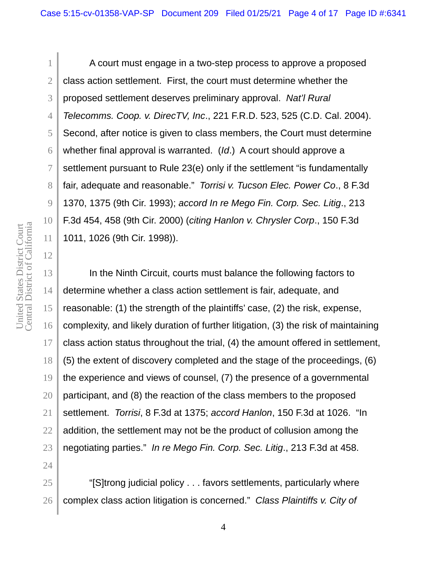A court must engage in a two-step process to approve a proposed class action settlement. First, the court must determine whether the proposed settlement deserves preliminary approval. *Nat'l Rural Telecomms. Coop. v. DirecTV, Inc*., 221 F.R.D. 523, 525 (C.D. Cal. 2004). Second, after notice is given to class members, the Court must determine whether final approval is warranted. (*Id*.) A court should approve a settlement pursuant to Rule 23(e) only if the settlement "is fundamentally fair, adequate and reasonable." *Torrisi v. Tucson Elec. Power Co*., 8 F.3d 1370, 1375 (9th Cir. 1993); *accord In re Mego Fin. Corp. Sec. Litig*., 213 F.3d 454, 458 (9th Cir. 2000) (*citing Hanlon v. Chrysler Corp*., 150 F.3d 1011, 1026 (9th Cir. 1998)).

In the Ninth Circuit, courts must balance the following factors to determine whether a class action settlement is fair, adequate, and reasonable: (1) the strength of the plaintiffs' case, (2) the risk, expense, complexity, and likely duration of further litigation, (3) the risk of maintaining class action status throughout the trial, (4) the amount offered in settlement, (5) the extent of discovery completed and the stage of the proceedings, (6) the experience and views of counsel, (7) the presence of a governmental participant, and (8) the reaction of the class members to the proposed settlement. *Torrisi*, 8 F.3d at 1375; *accord Hanlon*, 150 F.3d at 1026. "In addition, the settlement may not be the product of collusion among the negotiating parties." *In re Mego Fin. Corp. Sec. Litig*., 213 F.3d at 458.

"[S]trong judicial policy . . . favors settlements, particularly where complex class action litigation is concerned." *Class Plaintiffs v. City of* 

1

2

3

4

5

6

7

8

9

10

11

12

13

14

15

16

17

18

19

20

21

22

23

24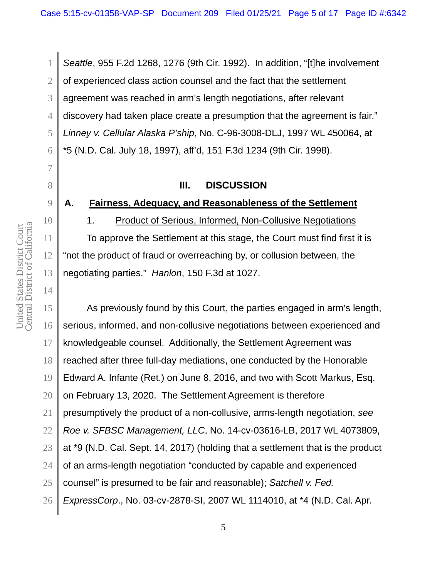*Seattle*, 955 F.2d 1268, 1276 (9th Cir. 1992). In addition, "[t]he involvement of experienced class action counsel and the fact that the settlement agreement was reached in arm's length negotiations, after relevant discovery had taken place create a presumption that the agreement is fair." *Linney v. Cellular Alaska P'ship*, No. C-96-3008-DLJ, 1997 WL 450064, at \*5 (N.D. Cal. July 18, 1997), aff'd, 151 F.3d 1234 (9th Cir. 1998).

# **III. DISCUSSION**

## **A. Fairness, Adequacy, and Reasonableness of the Settlement**

1. Product of Serious, Informed, Non-Collusive Negotiations

To approve the Settlement at this stage, the Court must find first it is "not the product of fraud or overreaching by, or collusion between, the negotiating parties." *Hanlon*, 150 F.3d at 1027.

As previously found by this Court, the parties engaged in arm's length, serious, informed, and non-collusive negotiations between experienced and knowledgeable counsel. Additionally, the Settlement Agreement was reached after three full-day mediations, one conducted by the Honorable Edward A. Infante (Ret.) on June 8, 2016, and two with Scott Markus, Esq. on February 13, 2020. The Settlement Agreement is therefore presumptively the product of a non-collusive, arms-length negotiation, *see Roe v. SFBSC Management, LLC*, No. 14-cv-03616-LB, 2017 WL 4073809, at \*9 (N.D. Cal. Sept. 14, 2017) (holding that a settlement that is the product of an arms-length negotiation "conducted by capable and experienced counsel" is presumed to be fair and reasonable); *Satchell v. Fed. ExpressCorp*., No. 03-cv-2878-SI, 2007 WL 1114010, at \*4 (N.D. Cal. Apr.

1

2

3

4

5

6

7

8

9

10

11

12

13

14

15

16

17

18

19

20

21

22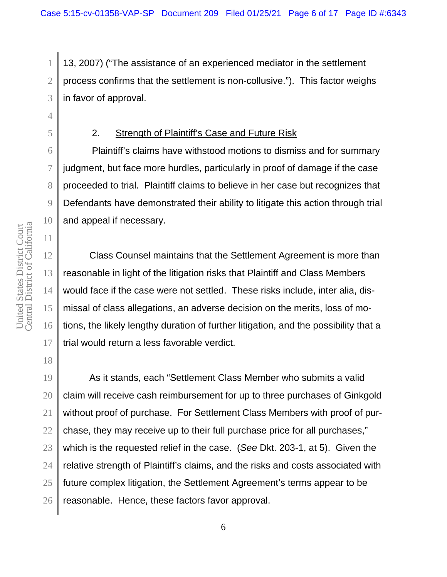13, 2007) ("The assistance of an experienced mediator in the settlement process confirms that the settlement is non-collusive."). This factor weighs in favor of approval.

# 2. Strength of Plaintiff's Case and Future Risk

 Plaintiff's claims have withstood motions to dismiss and for summary judgment, but face more hurdles, particularly in proof of damage if the case proceeded to trial. Plaintiff claims to believe in her case but recognizes that Defendants have demonstrated their ability to litigate this action through trial and appeal if necessary.

Class Counsel maintains that the Settlement Agreement is more than reasonable in light of the litigation risks that Plaintiff and Class Members would face if the case were not settled. These risks include, inter alia, dismissal of class allegations, an adverse decision on the merits, loss of motions, the likely lengthy duration of further litigation, and the possibility that a trial would return a less favorable verdict.

As it stands, each "Settlement Class Member who submits a valid claim will receive cash reimbursement for up to three purchases of Ginkgold without proof of purchase. For Settlement Class Members with proof of purchase, they may receive up to their full purchase price for all purchases," which is the requested relief in the case. (*See* Dkt. 203-1, at 5). Given the relative strength of Plaintiff's claims, and the risks and costs associated with future complex litigation, the Settlement Agreement's terms appear to be reasonable. Hence, these factors favor approval.

1

2

3

4

5

6

7

8

9

10

11

12

13

14

15

16

17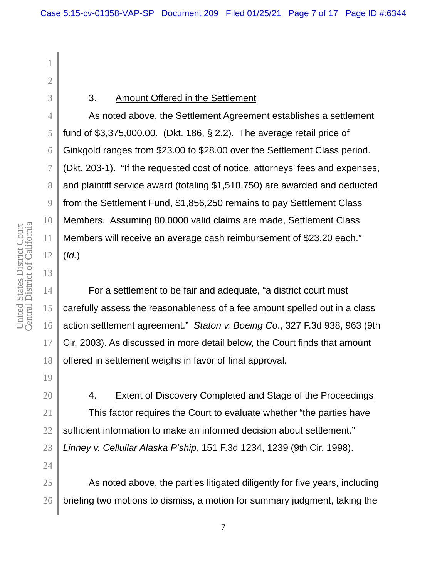1

2

3

4

5

6

7

8

9

10

11

12

13

14

15

16

17

## 3. Amount Offered in the Settlement

As noted above, the Settlement Agreement establishes a settlement fund of \$3,375,000.00. (Dkt. 186, § 2.2). The average retail price of Ginkgold ranges from \$23.00 to \$28.00 over the Settlement Class period. (Dkt. 203-1). "If the requested cost of notice, attorneys' fees and expenses, and plaintiff service award (totaling \$1,518,750) are awarded and deducted from the Settlement Fund, \$1,856,250 remains to pay Settlement Class Members. Assuming 80,0000 valid claims are made, Settlement Class Members will receive an average cash reimbursement of \$23.20 each." (*Id.*)

For a settlement to be fair and adequate, "a district court must carefully assess the reasonableness of a fee amount spelled out in a class action settlement agreement." *Staton v. Boeing Co*., 327 F.3d 938, 963 (9th Cir. 2003). As discussed in more detail below, the Court finds that amount offered in settlement weighs in favor of final approval.

4. Extent of Discovery Completed and Stage of the Proceedings This factor requires the Court to evaluate whether "the parties have sufficient information to make an informed decision about settlement." *Linney v. Cellullar Alaska P'ship*, 151 F.3d 1234, 1239 (9th Cir. 1998).

As noted above, the parties litigated diligently for five years, including briefing two motions to dismiss, a motion for summary judgment, taking the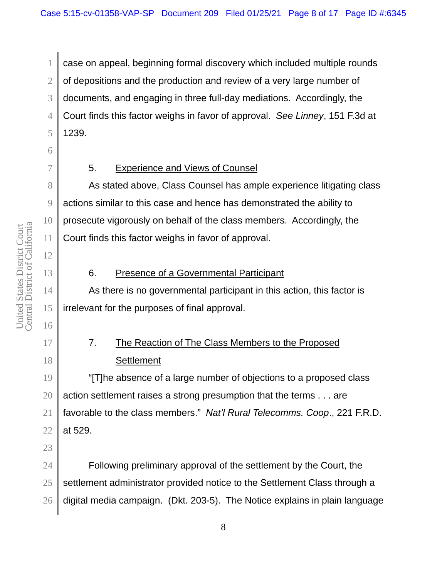2 3 4 5 case on appeal, beginning formal discovery which included multiple rounds of depositions and the production and review of a very large number of documents, and engaging in three full-day mediations. Accordingly, the Court finds this factor weighs in favor of approval. *See Linney*, 151 F.3d at 1239.

1

6

7

8

9

10

11

12

13

14

15

16

17

18

23

# 5. Experience and Views of Counsel

As stated above, Class Counsel has ample experience litigating class actions similar to this case and hence has demonstrated the ability to prosecute vigorously on behalf of the class members. Accordingly, the Court finds this factor weighs in favor of approval.

# 6. Presence of a Governmental Participant

As there is no governmental participant in this action, this factor is irrelevant for the purposes of final approval.

# 7. The Reaction of The Class Members to the Proposed **Settlement**

19 20 21 22 "[T]he absence of a large number of objections to a proposed class action settlement raises a strong presumption that the terms . . . are favorable to the class members." *Nat'l Rural Telecomms. Coop*., 221 F.R.D. at 529.

24 25 26 Following preliminary approval of the settlement by the Court, the settlement administrator provided notice to the Settlement Class through a digital media campaign. (Dkt. 203-5). The Notice explains in plain language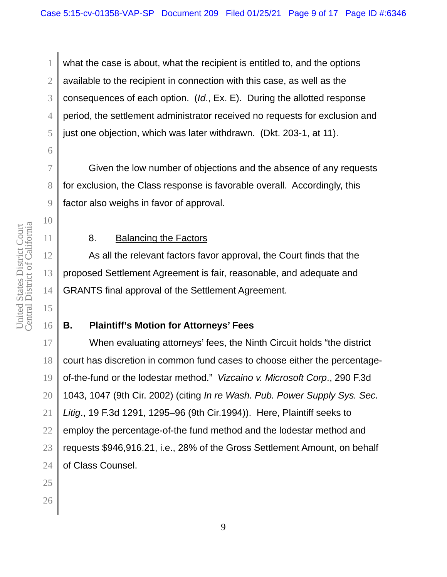1 2 3 4 5 what the case is about, what the recipient is entitled to, and the options available to the recipient in connection with this case, as well as the consequences of each option. (*Id*., Ex. E). During the allotted response period, the settlement administrator received no requests for exclusion and just one objection, which was later withdrawn. (Dkt. 203-1, at 11).

Given the low number of objections and the absence of any requests for exclusion, the Class response is favorable overall. Accordingly, this factor also weighs in favor of approval.

8. Balancing the Factors

As all the relevant factors favor approval, the Court finds that the proposed Settlement Agreement is fair, reasonable, and adequate and GRANTS final approval of the Settlement Agreement.

# **B. Plaintiff's Motion for Attorneys' Fees**

17 18 19 20 When evaluating attorneys' fees, the Ninth Circuit holds "the district court has discretion in common fund cases to choose either the percentageof-the-fund or the lodestar method." *Vizcaino v. Microsoft Corp*., 290 F.3d 1043, 1047 (9th Cir. 2002) (citing *In re Wash. Pub. Power Supply Sys. Sec. Litig*., 19 F.3d 1291, 1295–96 (9th Cir.1994)). Here, Plaintiff seeks to employ the percentage-of-the fund method and the lodestar method and requests \$946,916.21, i.e., 28% of the Gross Settlement Amount, on behalf of Class Counsel.

6

7

8

9

10

11

12

13

14

15

16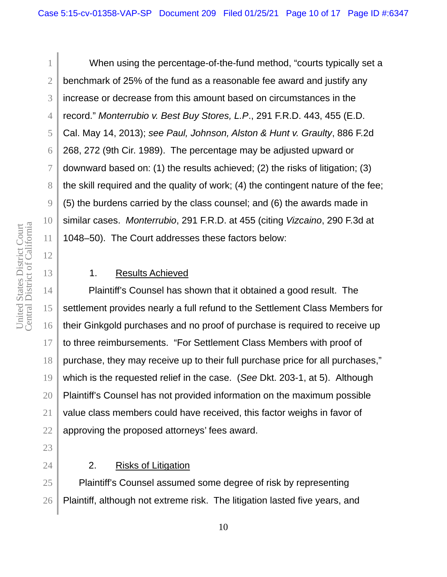Central District of California United States District Court<br>Central District of California United States District Court

12

13

15

17

18

21

22

23

24

1 2 3 4 5 6 7 8 9 10 11 When using the percentage-of-the-fund method, "courts typically set a benchmark of 25% of the fund as a reasonable fee award and justify any increase or decrease from this amount based on circumstances in the record." *Monterrubio v. Best Buy Stores, L.P*., 291 F.R.D. 443, 455 (E.D. Cal. May 14, 2013); *see Paul, Johnson, Alston & Hunt v. Graulty*, 886 F.2d 268, 272 (9th Cir. 1989). The percentage may be adjusted upward or downward based on: (1) the results achieved; (2) the risks of litigation; (3) the skill required and the quality of work; (4) the contingent nature of the fee; (5) the burdens carried by the class counsel; and (6) the awards made in similar cases. *Monterrubio*, 291 F.R.D. at 455 (citing *Vizcaino*, 290 F.3d at 1048–50). The Court addresses these factors below:

## 1. Results Achieved

14 16 19 20 Plaintiff's Counsel has shown that it obtained a good result. The settlement provides nearly a full refund to the Settlement Class Members for their Ginkgold purchases and no proof of purchase is required to receive up to three reimbursements. "For Settlement Class Members with proof of purchase, they may receive up to their full purchase price for all purchases," which is the requested relief in the case. (*See* Dkt. 203-1, at 5). Although Plaintiff's Counsel has not provided information on the maximum possible value class members could have received, this factor weighs in favor of approving the proposed attorneys' fees award.

## 2. Risks of Litigation

25 26 Plaintiff's Counsel assumed some degree of risk by representing Plaintiff, although not extreme risk. The litigation lasted five years, and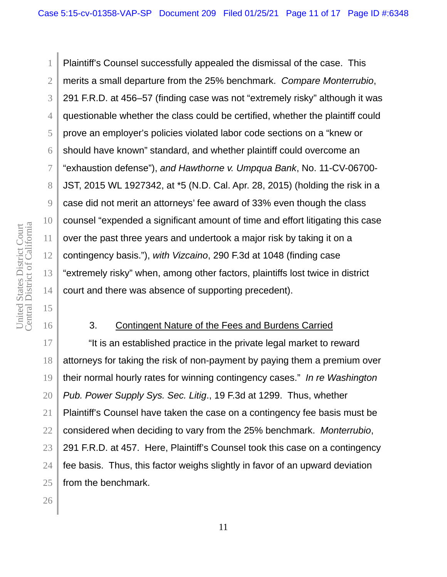1 2 3 4 5 6 7 8 9 10 12 13 14 Plaintiff's Counsel successfully appealed the dismissal of the case. This merits a small departure from the 25% benchmark. *Compare Monterrubio*, 291 F.R.D. at 456–57 (finding case was not "extremely risky" although it was questionable whether the class could be certified, whether the plaintiff could prove an employer's policies violated labor code sections on a "knew or should have known" standard, and whether plaintiff could overcome an "exhaustion defense"), *and Hawthorne v. Umpqua Bank*, No. 11-CV-06700- JST, 2015 WL 1927342, at \*5 (N.D. Cal. Apr. 28, 2015) (holding the risk in a case did not merit an attorneys' fee award of 33% even though the class counsel "expended a significant amount of time and effort litigating this case over the past three years and undertook a major risk by taking it on a contingency basis."), *with Vizcaino*, 290 F.3d at 1048 (finding case "extremely risky" when, among other factors, plaintiffs lost twice in district court and there was absence of supporting precedent).

## 3. Contingent Nature of the Fees and Burdens Carried

"It is an established practice in the private legal market to reward attorneys for taking the risk of non-payment by paying them a premium over their normal hourly rates for winning contingency cases." *In re Washington Pub. Power Supply Sys. Sec. Litig*., 19 F.3d at 1299. Thus, whether Plaintiff's Counsel have taken the case on a contingency fee basis must be considered when deciding to vary from the 25% benchmark. *Monterrubio*, 291 F.R.D. at 457. Here, Plaintiff's Counsel took this case on a contingency fee basis. Thus, this factor weighs slightly in favor of an upward deviation from the benchmark.

Central District of California United States District Court<br>Central District of California United States District Court

11

15

16

17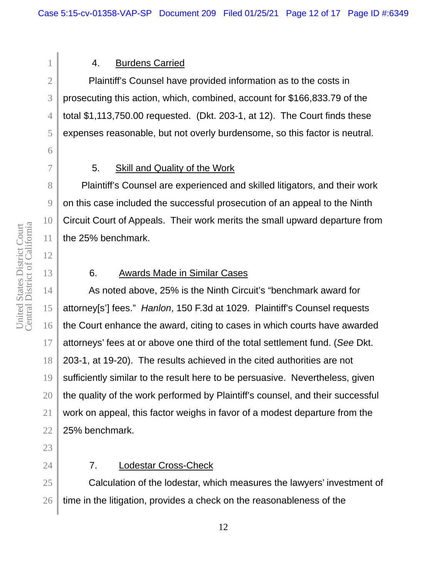# 4. Burdens Carried

Plaintiff's Counsel have provided information as to the costs in prosecuting this action, which, combined, account for \$166,833.79 of the total \$1,113,750.00 requested. (Dkt. 203-1, at 12). The Court finds these expenses reasonable, but not overly burdensome, so this factor is neutral.

# 5. Skill and Quality of the Work

 Plaintiff's Counsel are experienced and skilled litigators, and their work on this case included the successful prosecution of an appeal to the Ninth Circuit Court of Appeals. Their work merits the small upward departure from the 25% benchmark.

## 6. Awards Made in Similar Cases

As noted above, 25% is the Ninth Circuit's "benchmark award for attorney[s'] fees." *Hanlon*, 150 F.3d at 1029. Plaintiff's Counsel requests the Court enhance the award, citing to cases in which courts have awarded attorneys' fees at or above one third of the total settlement fund. (*See* Dkt. 203-1, at 19-20). The results achieved in the cited authorities are not sufficiently similar to the result here to be persuasive. Nevertheless, given the quality of the work performed by Plaintiff's counsel, and their successful work on appeal, this factor weighs in favor of a modest departure from the 25% benchmark.

# 7. Lodestar Cross-Check

Calculation of the lodestar, which measures the lawyers' investment of time in the litigation, provides a check on the reasonableness of the

1

2

3

4

5

6

7

8

9

10

11

12

13

14

15

16

17

18

19

20

21

22

23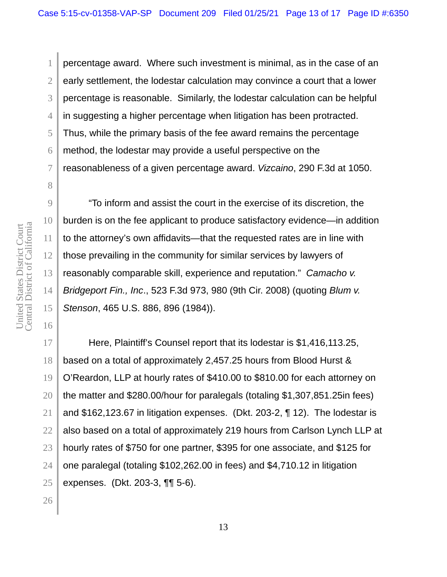percentage award. Where such investment is minimal, as in the case of an early settlement, the lodestar calculation may convince a court that a lower percentage is reasonable. Similarly, the lodestar calculation can be helpful in suggesting a higher percentage when litigation has been protracted. Thus, while the primary basis of the fee award remains the percentage method, the lodestar may provide a useful perspective on the reasonableness of a given percentage award. *Vizcaino*, 290 F.3d at 1050.

Central District of California United States District Court<br>Central District of California United States District Court

1

2

3

4

5

6

7

8

9

10

11

12

13

14

15

16

17

"To inform and assist the court in the exercise of its discretion, the burden is on the fee applicant to produce satisfactory evidence—in addition to the attorney's own affidavits—that the requested rates are in line with those prevailing in the community for similar services by lawyers of reasonably comparable skill, experience and reputation." *Camacho v. Bridgeport Fin., Inc*., 523 F.3d 973, 980 (9th Cir. 2008) (quoting *Blum v. Stenson*, 465 U.S. 886, 896 (1984)).

Here, Plaintiff's Counsel report that its lodestar is \$1,416,113.25, based on a total of approximately 2,457.25 hours from Blood Hurst & O'Reardon, LLP at hourly rates of \$410.00 to \$810.00 for each attorney on the matter and \$280.00/hour for paralegals (totaling \$1,307,851.25in fees) and \$162,123.67 in litigation expenses. (Dkt. 203-2, ¶ 12). The lodestar is also based on a total of approximately 219 hours from Carlson Lynch LLP at hourly rates of \$750 for one partner, \$395 for one associate, and \$125 for one paralegal (totaling \$102,262.00 in fees) and \$4,710.12 in litigation expenses. (Dkt. 203-3, ¶¶ 5-6).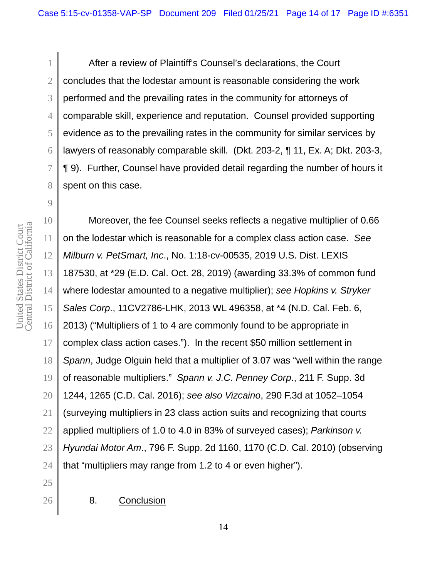After a review of Plaintiff's Counsel's declarations, the Court concludes that the lodestar amount is reasonable considering the work performed and the prevailing rates in the community for attorneys of comparable skill, experience and reputation. Counsel provided supporting evidence as to the prevailing rates in the community for similar services by lawyers of reasonably comparable skill. (Dkt. 203-2, ¶ 11, Ex. A; Dkt. 203-3, ¶ 9). Further, Counsel have provided detail regarding the number of hours it spent on this case.

Moreover, the fee Counsel seeks reflects a negative multiplier of 0.66 on the lodestar which is reasonable for a complex class action case. *See Milburn v. PetSmart, Inc*., No. 1:18-cv-00535, 2019 U.S. Dist. LEXIS 187530, at \*29 (E.D. Cal. Oct. 28, 2019) (awarding 33.3% of common fund where lodestar amounted to a negative multiplier); *see Hopkins v. Stryker Sales Corp*., 11CV2786-LHK, 2013 WL 496358, at \*4 (N.D. Cal. Feb. 6, 2013) ("Multipliers of 1 to 4 are commonly found to be appropriate in complex class action cases."). In the recent \$50 million settlement in *Spann*, Judge Olguin held that a multiplier of 3.07 was "well within the range of reasonable multipliers." *Spann v. J.C. Penney Corp*., 211 F. Supp. 3d 1244, 1265 (C.D. Cal. 2016); *see also Vizcaino*, 290 F.3d at 1052–1054 (surveying multipliers in 23 class action suits and recognizing that courts applied multipliers of 1.0 to 4.0 in 83% of surveyed cases); *Parkinson v. Hyundai Motor Am*., 796 F. Supp. 2d 1160, 1170 (C.D. Cal. 2010) (observing that "multipliers may range from 1.2 to 4 or even higher").

8. Conclusion

Central District of California United States District Court<br>Central District of California United States District Court

1

2

3

4

5

6

7

8

9

10

11

12

13

14

15

16

17

18

19

20

21

22

23

24 25 26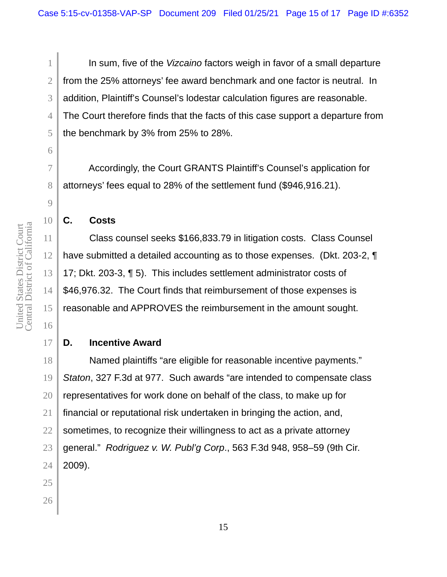In sum, five of the *Vizcaino* factors weigh in favor of a small departure from the 25% attorneys' fee award benchmark and one factor is neutral. In addition, Plaintiff's Counsel's lodestar calculation figures are reasonable. The Court therefore finds that the facts of this case support a departure from the benchmark by 3% from 25% to 28%.

Accordingly, the Court GRANTS Plaintiff's Counsel's application for attorneys' fees equal to 28% of the settlement fund (\$946,916.21).

## **C. Costs**

Class counsel seeks \$166,833.79 in litigation costs. Class Counsel have submitted a detailed accounting as to those expenses. (Dkt. 203-2, ¶ 17; Dkt. 203-3, ¶ 5). This includes settlement administrator costs of \$46,976.32. The Court finds that reimbursement of those expenses is reasonable and APPROVES the reimbursement in the amount sought.

# **D. Incentive Award**

Named plaintiffs "are eligible for reasonable incentive payments." *Staton*, 327 F.3d at 977. Such awards "are intended to compensate class representatives for work done on behalf of the class, to make up for financial or reputational risk undertaken in bringing the action, and, sometimes, to recognize their willingness to act as a private attorney general." *Rodriguez v. W. Publ'g Corp*., 563 F.3d 948, 958–59 (9th Cir. 2009).

1

2

3

4

5

6

7

8

9

10

11

12

13

14

15

16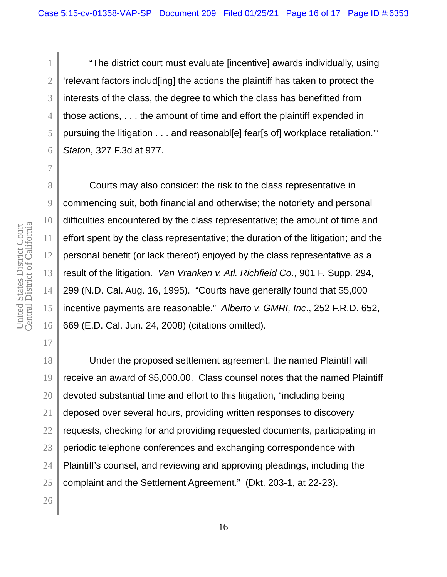"The district court must evaluate [incentive] awards individually, using 'relevant factors includ[ing] the actions the plaintiff has taken to protect the interests of the class, the degree to which the class has benefitted from those actions, . . . the amount of time and effort the plaintiff expended in pursuing the litigation . . . and reasonabl[e] fear[s of] workplace retaliation.'" *Staton*, 327 F.3d at 977.

Courts may also consider: the risk to the class representative in commencing suit, both financial and otherwise; the notoriety and personal difficulties encountered by the class representative; the amount of time and effort spent by the class representative; the duration of the litigation; and the personal benefit (or lack thereof) enjoyed by the class representative as a result of the litigation. *Van Vranken v. Atl. Richfield Co*., 901 F. Supp. 294, 299 (N.D. Cal. Aug. 16, 1995). "Courts have generally found that \$5,000 incentive payments are reasonable." *Alberto v. GMRI, Inc*., 252 F.R.D. 652, 669 (E.D. Cal. Jun. 24, 2008) (citations omitted).

Under the proposed settlement agreement, the named Plaintiff will receive an award of \$5,000.00. Class counsel notes that the named Plaintiff devoted substantial time and effort to this litigation, "including being deposed over several hours, providing written responses to discovery requests, checking for and providing requested documents, participating in periodic telephone conferences and exchanging correspondence with Plaintiff's counsel, and reviewing and approving pleadings, including the complaint and the Settlement Agreement." (Dkt. 203-1, at 22-23).

Central District of California United States District Court<br>Central District of California United States District Court

1

2

3

4

5

6

7

8

9

10

11

12

13

14

15

16

17

18

19

20

21

22

23

24